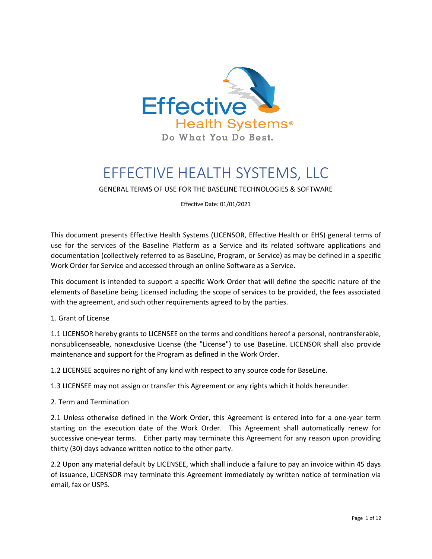

# EFFECTIVE HEALTH SYSTEMS, LLC

GENERAL TERMS OF USE FOR THE BASELINE TECHNOLOGIES & SOFTWARE

Effective Date: 01/01/2021

This document presents Effective Health Systems (LICENSOR, Effective Health or EHS) general terms of use for the services of the Baseline Platform as a Service and its related software applications and documentation (collectively referred to as BaseLine, Program, or Service) as may be defined in a specific Work Order for Service and accessed through an online Software as a Service.

This document is intended to support a specific Work Order that will define the specific nature of the elements of BaseLine being Licensed including the scope of services to be provided, the fees associated with the agreement, and such other requirements agreed to by the parties.

## 1. Grant of License

1.1 LICENSOR hereby grants to LICENSEE on the terms and conditions hereof a personal, nontransferable, nonsublicenseable, nonexclusive License (the "License") to use BaseLine. LICENSOR shall also provide maintenance and support for the Program as defined in the Work Order.

1.2 LICENSEE acquires no right of any kind with respect to any source code for BaseLine.

1.3 LICENSEE may not assign or transfer this Agreement or any rights which it holds hereunder.

#### 2. Term and Termination

2.1 Unless otherwise defined in the Work Order, this Agreement is entered into for a one-year term starting on the execution date of the Work Order. This Agreement shall automatically renew for successive one-year terms. Either party may terminate this Agreement for any reason upon providing thirty (30) days advance written notice to the other party.

2.2 Upon any material default by LICENSEE, which shall include a failure to pay an invoice within 45 days of issuance, LICENSOR may terminate this Agreement immediately by written notice of termination via email, fax or USPS.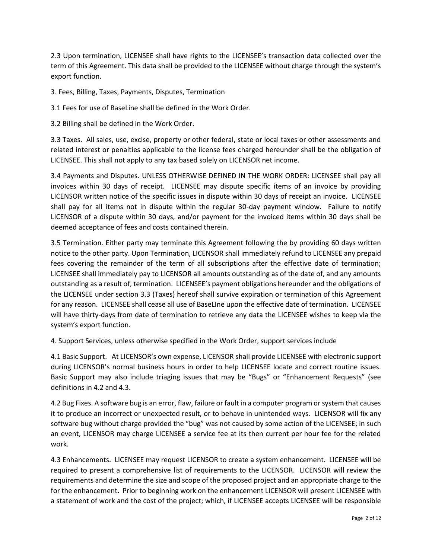2.3 Upon termination, LICENSEE shall have rights to the LICENSEE's transaction data collected over the term of this Agreement. This data shall be provided to the LICENSEE without charge through the system's export function.

3. Fees, Billing, Taxes, Payments, Disputes, Termination

3.1 Fees for use of BaseLine shall be defined in the Work Order.

3.2 Billing shall be defined in the Work Order.

3.3 Taxes. All sales, use, excise, property or other federal, state or local taxes or other assessments and related interest or penalties applicable to the license fees charged hereunder shall be the obligation of LICENSEE. This shall not apply to any tax based solely on LICENSOR net income.

3.4 Payments and Disputes. UNLESS OTHERWISE DEFINED IN THE WORK ORDER: LICENSEE shall pay all invoices within 30 days of receipt. LICENSEE may dispute specific items of an invoice by providing LICENSOR written notice of the specific issues in dispute within 30 days of receipt an invoice. LICENSEE shall pay for all items not in dispute within the regular 30-day payment window. Failure to notify LICENSOR of a dispute within 30 days, and/or payment for the invoiced items within 30 days shall be deemed acceptance of fees and costs contained therein.

3.5 Termination. Either party may terminate this Agreement following the by providing 60 days written notice to the other party. Upon Termination, LICENSOR shall immediately refund to LICENSEE any prepaid fees covering the remainder of the term of all subscriptions after the effective date of termination; LICENSEE shall immediately pay to LICENSOR all amounts outstanding as of the date of, and any amounts outstanding as a result of, termination. LICENSEE's payment obligations hereunder and the obligations of the LICENSEE under section 3.3 (Taxes) hereof shall survive expiration or termination of this Agreement for any reason. LICENSEE shall cease all use of BaseLIne upon the effective date of termination. LICENSEE will have thirty-days from date of termination to retrieve any data the LICENSEE wishes to keep via the system's export function.

4. Support Services, unless otherwise specified in the Work Order, support services include

4.1 Basic Support. At LICENSOR's own expense, LICENSOR shall provide LICENSEE with electronic support during LICENSOR's normal business hours in order to help LICENSEE locate and correct routine issues. Basic Support may also include triaging issues that may be "Bugs" or "Enhancement Requests" (see definitions in 4.2 and 4.3.

4.2 Bug Fixes. A software bug is an error, flaw, failure or fault in a computer program or system that causes it to produce an incorrect or unexpected result, or to behave in unintended ways. LICENSOR will fix any software bug without charge provided the "bug" was not caused by some action of the LICENSEE; in such an event, LICENSOR may charge LICENSEE a service fee at its then current per hour fee for the related work.

4.3 Enhancements. LICENSEE may request LICENSOR to create a system enhancement. LICENSEE will be required to present a comprehensive list of requirements to the LICENSOR. LICENSOR will review the requirements and determine the size and scope of the proposed project and an appropriate charge to the for the enhancement. Prior to beginning work on the enhancement LICENSOR will present LICENSEE with a statement of work and the cost of the project; which, if LICENSEE accepts LICENSEE will be responsible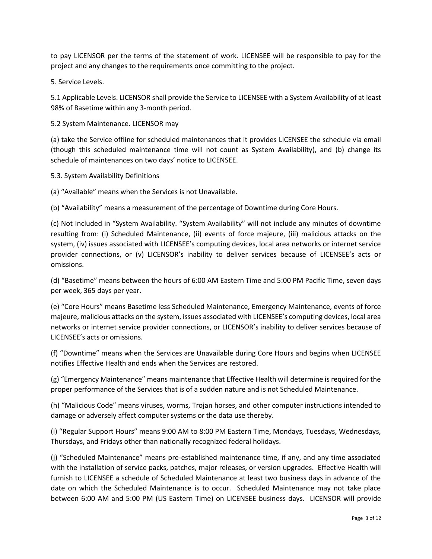to pay LICENSOR per the terms of the statement of work. LICENSEE will be responsible to pay for the project and any changes to the requirements once committing to the project.

5. Service Levels.

5.1 Applicable Levels. LICENSOR shall provide the Service to LICENSEE with a System Availability of at least 98% of Basetime within any 3-month period.

### 5.2 System Maintenance. LICENSOR may

(a) take the Service offline for scheduled maintenances that it provides LICENSEE the schedule via email (though this scheduled maintenance time will not count as System Availability), and (b) change its schedule of maintenances on two days' notice to LICENSEE.

5.3. System Availability Definitions

(a) "Available" means when the Services is not Unavailable.

(b) "Availability" means a measurement of the percentage of Downtime during Core Hours.

(c) Not Included in "System Availability. "System Availability" will not include any minutes of downtime resulting from: (i) Scheduled Maintenance, (ii) events of force majeure, (iii) malicious attacks on the system, (iv) issues associated with LICENSEE's computing devices, local area networks or internet service provider connections, or (v) LICENSOR's inability to deliver services because of LICENSEE's acts or omissions.

(d) "Basetime" means between the hours of 6:00 AM Eastern Time and 5:00 PM Pacific Time, seven days per week, 365 days per year.

(e) "Core Hours" means Basetime less Scheduled Maintenance, Emergency Maintenance, events of force majeure, malicious attacks on the system, issues associated with LICENSEE's computing devices, local area networks or internet service provider connections, or LICENSOR's inability to deliver services because of LICENSEE's acts or omissions.

(f) "Downtime" means when the Services are Unavailable during Core Hours and begins when LICENSEE notifies Effective Health and ends when the Services are restored.

(g) "Emergency Maintenance" means maintenance that Effective Health will determine is required for the proper performance of the Services that is of a sudden nature and is not Scheduled Maintenance.

(h) "Malicious Code" means viruses, worms, Trojan horses, and other computer instructions intended to damage or adversely affect computer systems or the data use thereby.

(i) "Regular Support Hours" means 9:00 AM to 8:00 PM Eastern Time, Mondays, Tuesdays, Wednesdays, Thursdays, and Fridays other than nationally recognized federal holidays.

(j) "Scheduled Maintenance" means pre-established maintenance time, if any, and any time associated with the installation of service packs, patches, major releases, or version upgrades. Effective Health will furnish to LICENSEE a schedule of Scheduled Maintenance at least two business days in advance of the date on which the Scheduled Maintenance is to occur. Scheduled Maintenance may not take place between 6:00 AM and 5:00 PM (US Eastern Time) on LICENSEE business days. LICENSOR will provide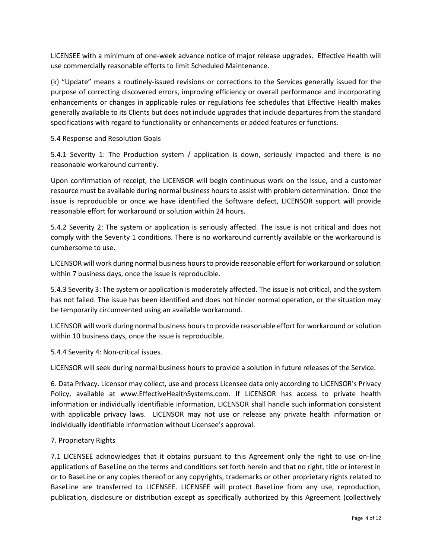LICENSEE with a minimum of one-week advance notice of major release upgrades. Effective Health will use commercially reasonable efforts to limit Scheduled Maintenance.

(k) "Update" means a routinely-issued revisions or corrections to the Services generally issued for the purpose of correcting discovered errors, improving efficiency or overall performance and incorporating enhancements or changes in applicable rules or regulations fee schedules that Effective Health makes generally available to its Clients but does not include upgrades that include departures from the standard specifications with regard to functionality or enhancements or added features or functions.

5.4 Response and Resolution Goals

5.4.1 Severity 1: The Production system / application is down, seriously impacted and there is no reasonable workaround currently.

Upon confirmation of receipt, the LICENSOR will begin continuous work on the issue, and a customer resource must be available during normal business hours to assist with problem determination. Once the issue is reproducible or once we have identified the Software defect, LICENSOR support will provide reasonable effort for workaround or solution within 24 hours.

5.4.2 Severity 2: The system or application is seriously affected. The issue is not critical and does not comply with the Severity 1 conditions. There is no workaround currently available or the workaround is cumbersome to use.

LICENSOR will work during normal business hours to provide reasonable effort for workaround or solution within 7 business days, once the issue is reproducible.

5.4.3 Severity 3: The system or application is moderately affected. The issue is not critical, and the system has not failed. The issue has been identified and does not hinder normal operation, or the situation may be temporarily circumvented using an available workaround.

LICENSOR will work during normal business hours to provide reasonable effort for workaround or solution within 10 business days, once the issue is reproducible.

5.4.4 Severity 4: Non-critical issues.

LICENSOR will seek during normal business hours to provide a solution in future releases of the Service.

6. Data Privacy. Licensor may collect, use and process Licensee data only according to LICENSOR's Privacy Policy, available at www.EffectiveHealthSystems.com. If LICENSOR has access to private health information or individually identifiable information, LICENSOR shall handle such information consistent with applicable privacy laws. LICENSOR may not use or release any private health information or individually identifiable information without Licensee's approval.

## 7. Proprietary Rights

7.1 LICENSEE acknowledges that it obtains pursuant to this Agreement only the right to use on-line applications of BaseLine on the terms and conditions set forth herein and that no right, title or interest in or to BaseLine or any copies thereof or any copyrights, trademarks or other proprietary rights related to BaseLine are transferred to LICENSEE. LICENSEE will protect BaseLine from any use, reproduction, publication, disclosure or distribution except as specifically authorized by this Agreement (collectively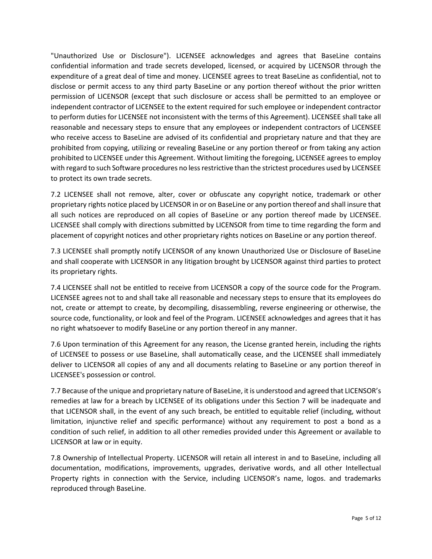"Unauthorized Use or Disclosure"). LICENSEE acknowledges and agrees that BaseLine contains confidential information and trade secrets developed, licensed, or acquired by LICENSOR through the expenditure of a great deal of time and money. LICENSEE agrees to treat BaseLine as confidential, not to disclose or permit access to any third party BaseLine or any portion thereof without the prior written permission of LICENSOR (except that such disclosure or access shall be permitted to an employee or independent contractor of LICENSEE to the extent required for such employee or independent contractor to perform duties for LICENSEE not inconsistent with the terms of this Agreement). LICENSEE shall take all reasonable and necessary steps to ensure that any employees or independent contractors of LICENSEE who receive access to BaseLine are advised of its confidential and proprietary nature and that they are prohibited from copying, utilizing or revealing BaseLine or any portion thereof or from taking any action prohibited to LICENSEE under this Agreement. Without limiting the foregoing, LICENSEE agrees to employ with regard to such Software procedures no less restrictive than the strictest procedures used by LICENSEE to protect its own trade secrets.

7.2 LICENSEE shall not remove, alter, cover or obfuscate any copyright notice, trademark or other proprietary rights notice placed by LICENSOR in or on BaseLine or any portion thereof and shall insure that all such notices are reproduced on all copies of BaseLine or any portion thereof made by LICENSEE. LICENSEE shall comply with directions submitted by LICENSOR from time to time regarding the form and placement of copyright notices and other proprietary rights notices on BaseLine or any portion thereof.

7.3 LICENSEE shall promptly notify LICENSOR of any known Unauthorized Use or Disclosure of BaseLine and shall cooperate with LICENSOR in any litigation brought by LICENSOR against third parties to protect its proprietary rights.

7.4 LICENSEE shall not be entitled to receive from LICENSOR a copy of the source code for the Program. LICENSEE agrees not to and shall take all reasonable and necessary steps to ensure that its employees do not, create or attempt to create, by decompiling, disassembling, reverse engineering or otherwise, the source code, functionality, or look and feel of the Program. LICENSEE acknowledges and agrees that it has no right whatsoever to modify BaseLine or any portion thereof in any manner.

7.6 Upon termination of this Agreement for any reason, the License granted herein, including the rights of LICENSEE to possess or use BaseLine, shall automatically cease, and the LICENSEE shall immediately deliver to LICENSOR all copies of any and all documents relating to BaseLine or any portion thereof in LICENSEE's possession or control.

7.7 Because of the unique and proprietary nature of BaseLine, it is understood and agreed that LICENSOR's remedies at law for a breach by LICENSEE of its obligations under this Section 7 will be inadequate and that LICENSOR shall, in the event of any such breach, be entitled to equitable relief (including, without limitation, injunctive relief and specific performance) without any requirement to post a bond as a condition of such relief, in addition to all other remedies provided under this Agreement or available to LICENSOR at law or in equity.

7.8 Ownership of Intellectual Property. LICENSOR will retain all interest in and to BaseLine, including all documentation, modifications, improvements, upgrades, derivative words, and all other Intellectual Property rights in connection with the Service, including LICENSOR's name, logos. and trademarks reproduced through BaseLine.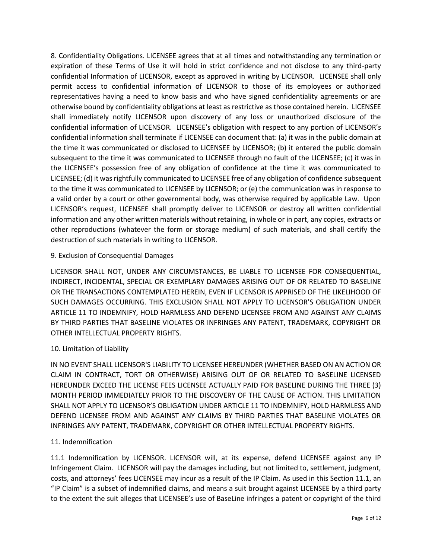8. Confidentiality Obligations. LICENSEE agrees that at all times and notwithstanding any termination or expiration of these Terms of Use it will hold in strict confidence and not disclose to any third-party confidential Information of LICENSOR, except as approved in writing by LICENSOR. LICENSEE shall only permit access to confidential information of LICENSOR to those of its employees or authorized representatives having a need to know basis and who have signed confidentiality agreements or are otherwise bound by confidentiality obligations at least as restrictive as those contained herein. LICENSEE shall immediately notify LICENSOR upon discovery of any loss or unauthorized disclosure of the confidential information of LICENSOR. LICENSEE's obligation with respect to any portion of LICENSOR's confidential information shall terminate if LICENSEE can document that: (a) it was in the public domain at the time it was communicated or disclosed to LICENSEE by LICENSOR; (b) it entered the public domain subsequent to the time it was communicated to LICENSEE through no fault of the LICENSEE; (c) it was in the LICENSEE's possession free of any obligation of confidence at the time it was communicated to LICENSEE; (d) it was rightfully communicated to LICENSEE free of any obligation of confidence subsequent to the time it was communicated to LICENSEE by LICENSOR; or (e) the communication was in response to a valid order by a court or other governmental body, was otherwise required by applicable Law. Upon LICENSOR's request, LICENSEE shall promptly deliver to LICENSOR or destroy all written confidential information and any other written materials without retaining, in whole or in part, any copies, extracts or other reproductions (whatever the form or storage medium) of such materials, and shall certify the destruction of such materials in writing to LICENSOR.

## 9. Exclusion of Consequential Damages

LICENSOR SHALL NOT, UNDER ANY CIRCUMSTANCES, BE LIABLE TO LICENSEE FOR CONSEQUENTIAL, INDIRECT, INCIDENTAL, SPECIAL OR EXEMPLARY DAMAGES ARISING OUT OF OR RELATED TO BASELINE OR THE TRANSACTIONS CONTEMPLATED HEREIN, EVEN IF LICENSOR IS APPRISED OF THE LIKELIHOOD OF SUCH DAMAGES OCCURRING. THIS EXCLUSION SHALL NOT APPLY TO LICENSOR'S OBLIGATION UNDER ARTICLE 11 TO INDEMNIFY, HOLD HARMLESS AND DEFEND LICENSEE FROM AND AGAINST ANY CLAIMS BY THIRD PARTIES THAT BASELINE VIOLATES OR INFRINGES ANY PATENT, TRADEMARK, COPYRIGHT OR OTHER INTELLECTUAL PROPERTY RIGHTS.

## 10. Limitation of Liability

IN NO EVENT SHALL LICENSOR'S LIABILITY TO LICENSEE HEREUNDER (WHETHER BASED ON AN ACTION OR CLAIM IN CONTRACT, TORT OR OTHERWISE) ARISING OUT OF OR RELATED TO BASELINE LICENSED HEREUNDER EXCEED THE LICENSE FEES LICENSEE ACTUALLY PAID FOR BASELINE DURING THE THREE (3) MONTH PERIOD IMMEDIATELY PRIOR TO THE DISCOVERY OF THE CAUSE OF ACTION. THIS LIMITATION SHALL NOT APPLY TO LICENSOR'S OBLIGATION UNDER ARTICLE 11 TO INDEMNIFY, HOLD HARMLESS AND DEFEND LICENSEE FROM AND AGAINST ANY CLAIMS BY THIRD PARTIES THAT BASELINE VIOLATES OR INFRINGES ANY PATENT, TRADEMARK, COPYRIGHT OR OTHER INTELLECTUAL PROPERTY RIGHTS.

## 11. Indemnification

11.1 Indemnification by LICENSOR. LICENSOR will, at its expense, defend LICENSEE against any IP Infringement Claim. LICENSOR will pay the damages including, but not limited to, settlement, judgment, costs, and attorneys' fees LICENSEE may incur as a result of the IP Claim. As used in this Section 11.1, an "IP Claim" is a subset of indemnified claims, and means a suit brought against LICENSEE by a third party to the extent the suit alleges that LICENSEE's use of BaseLine infringes a patent or copyright of the third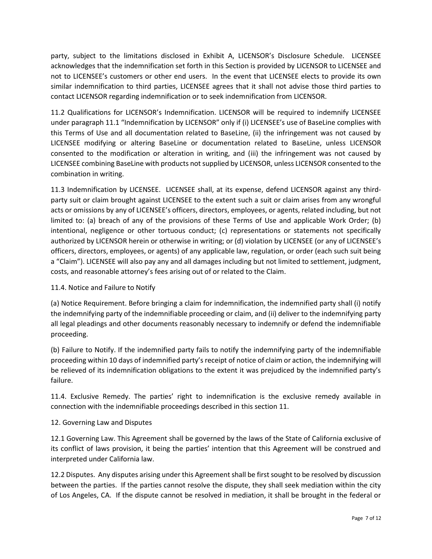party, subject to the limitations disclosed in Exhibit A, LICENSOR's Disclosure Schedule. LICENSEE acknowledges that the indemnification set forth in this Section is provided by LICENSOR to LICENSEE and not to LICENSEE's customers or other end users. In the event that LICENSEE elects to provide its own similar indemnification to third parties, LICENSEE agrees that it shall not advise those third parties to contact LICENSOR regarding indemnification or to seek indemnification from LICENSOR.

11.2 Qualifications for LICENSOR's Indemnification. LICENSOR will be required to indemnify LICENSEE under paragraph 11.1 "Indemnification by LICENSOR" only if (i) LICENSEE's use of BaseLine complies with this Terms of Use and all documentation related to BaseLine, (ii) the infringement was not caused by LICENSEE modifying or altering BaseLine or documentation related to BaseLine, unless LICENSOR consented to the modification or alteration in writing, and (iii) the infringement was not caused by LICENSEE combining BaseLine with products not supplied by LICENSOR, unless LICENSOR consented to the combination in writing.

11.3 Indemnification by LICENSEE. LICENSEE shall, at its expense, defend LICENSOR against any thirdparty suit or claim brought against LICENSEE to the extent such a suit or claim arises from any wrongful acts or omissions by any of LICENSEE's officers, directors, employees, or agents, related including, but not limited to: (a) breach of any of the provisions of these Terms of Use and applicable Work Order; (b) intentional, negligence or other tortuous conduct; (c) representations or statements not specifically authorized by LICENSOR herein or otherwise in writing; or (d) violation by LICENSEE (or any of LICENSEE's officers, directors, employees, or agents) of any applicable law, regulation, or order (each such suit being a "Claim"). LICENSEE will also pay any and all damages including but not limited to settlement, judgment, costs, and reasonable attorney's fees arising out of or related to the Claim.

## 11.4. Notice and Failure to Notify

(a) Notice Requirement. Before bringing a claim for indemnification, the indemnified party shall (i) notify the indemnifying party of the indemnifiable proceeding or claim, and (ii) deliver to the indemnifying party all legal pleadings and other documents reasonably necessary to indemnify or defend the indemnifiable proceeding.

(b) Failure to Notify. If the indemnified party fails to notify the indemnifying party of the indemnifiable proceeding within 10 days of indemnified party's receipt of notice of claim or action, the indemnifying will be relieved of its indemnification obligations to the extent it was prejudiced by the indemnified party's failure.

11.4. Exclusive Remedy. The parties' right to indemnification is the exclusive remedy available in connection with the indemnifiable proceedings described in this section 11.

## 12. Governing Law and Disputes

12.1 Governing Law. This Agreement shall be governed by the laws of the State of California exclusive of its conflict of laws provision, it being the parties' intention that this Agreement will be construed and interpreted under California law.

12.2 Disputes. Any disputes arising under this Agreement shall be first sought to be resolved by discussion between the parties. If the parties cannot resolve the dispute, they shall seek mediation within the city of Los Angeles, CA. If the dispute cannot be resolved in mediation, it shall be brought in the federal or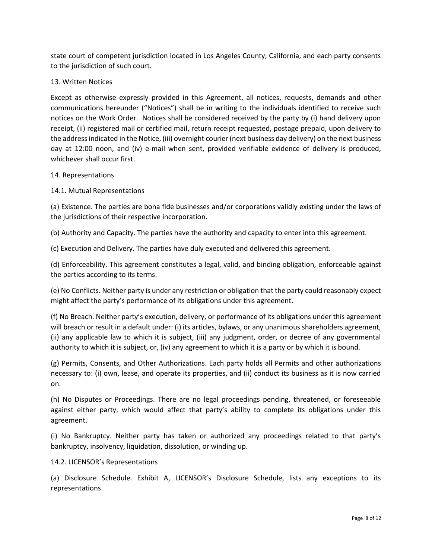state court of competent jurisdiction located in Los Angeles County, California, and each party consents to the jurisdiction of such court.

## 13. Written Notices

Except as otherwise expressly provided in this Agreement, all notices, requests, demands and other communications hereunder ("Notices") shall be in writing to the individuals identified to receive such notices on the Work Order. Notices shall be considered received by the party by (i) hand delivery upon receipt, (ii) registered mail or certified mail, return receipt requested, postage prepaid, upon delivery to the address indicated in the Notice, (iii) overnight courier (next business day delivery) on the next business day at 12:00 noon, and (iv) e-mail when sent, provided verifiable evidence of delivery is produced, whichever shall occur first.

### 14. Representations

## 14.1. Mutual Representations

(a) Existence. The parties are bona fide businesses and/or corporations validly existing under the laws of the jurisdictions of their respective incorporation.

(b) Authority and Capacity. The parties have the authority and capacity to enter into this agreement.

(c) Execution and Delivery. The parties have duly executed and delivered this agreement.

(d) Enforceability. This agreement constitutes a legal, valid, and binding obligation, enforceable against the parties according to its terms.

(e) No Conflicts. Neither party is under any restriction or obligation that the party could reasonably expect might affect the party's performance of its obligations under this agreement.

(f) No Breach. Neither party's execution, delivery, or performance of its obligations under this agreement will breach or result in a default under: (i) its articles, bylaws, or any unanimous shareholders agreement, (ii) any applicable law to which it is subject, (iii) any judgment, order, or decree of any governmental authority to which it is subject, or, (iv) any agreement to which it is a party or by which it is bound.

(g) Permits, Consents, and Other Authorizations. Each party holds all Permits and other authorizations necessary to: (i) own, lease, and operate its properties, and (ii) conduct its business as it is now carried on.

(h) No Disputes or Proceedings. There are no legal proceedings pending, threatened, or foreseeable against either party, which would affect that party's ability to complete its obligations under this agreement.

(i) No Bankruptcy. Neither party has taken or authorized any proceedings related to that party's bankruptcy, insolvency, liquidation, dissolution, or winding up.

## 14.2. LICENSOR's Representations

(a) Disclosure Schedule. Exhibit A, LICENSOR's Disclosure Schedule, lists any exceptions to its representations.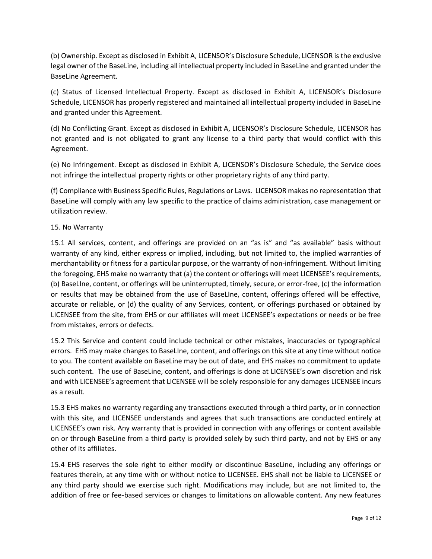(b) Ownership. Except as disclosed in Exhibit A, LICENSOR's Disclosure Schedule, LICENSOR is the exclusive legal owner of the BaseLine, including all intellectual property included in BaseLine and granted under the BaseLine Agreement.

(c) Status of Licensed Intellectual Property. Except as disclosed in Exhibit A, LICENSOR's Disclosure Schedule, LICENSOR has properly registered and maintained all intellectual property included in BaseLine and granted under this Agreement.

(d) No Conflicting Grant. Except as disclosed in Exhibit A, LICENSOR's Disclosure Schedule, LICENSOR has not granted and is not obligated to grant any license to a third party that would conflict with this Agreement.

(e) No Infringement. Except as disclosed in Exhibit A, LICENSOR's Disclosure Schedule, the Service does not infringe the intellectual property rights or other proprietary rights of any third party.

(f) Compliance with Business Specific Rules, Regulations or Laws. LICENSOR makes no representation that BaseLine will comply with any law specific to the practice of claims administration, case management or utilization review.

## 15. No Warranty

15.1 All services, content, and offerings are provided on an "as is" and "as available" basis without warranty of any kind, either express or implied, including, but not limited to, the implied warranties of merchantability or fitness for a particular purpose, or the warranty of non-infringement. Without limiting the foregoing, EHS make no warranty that (a) the content or offerings will meet LICENSEE's requirements, (b) BaseLIne, content, or offerings will be uninterrupted, timely, secure, or error-free, (c) the information or results that may be obtained from the use of BaseLIne, content, offerings offered will be effective, accurate or reliable, or (d) the quality of any Services, content, or offerings purchased or obtained by LICENSEE from the site, from EHS or our affiliates will meet LICENSEE's expectations or needs or be free from mistakes, errors or defects.

15.2 This Service and content could include technical or other mistakes, inaccuracies or typographical errors. EHS may make changes to BaseLIne, content, and offerings on this site at any time without notice to you. The content available on BaseLine may be out of date, and EHS makes no commitment to update such content. The use of BaseLine, content, and offerings is done at LICENSEE's own discretion and risk and with LICENSEE's agreement that LICENSEE will be solely responsible for any damages LICENSEE incurs as a result.

15.3 EHS makes no warranty regarding any transactions executed through a third party, or in connection with this site, and LICENSEE understands and agrees that such transactions are conducted entirely at LICENSEE's own risk. Any warranty that is provided in connection with any offerings or content available on or through BaseLine from a third party is provided solely by such third party, and not by EHS or any other of its affiliates.

15.4 EHS reserves the sole right to either modify or discontinue BaseLine, including any offerings or features therein, at any time with or without notice to LICENSEE. EHS shall not be liable to LICENSEE or any third party should we exercise such right. Modifications may include, but are not limited to, the addition of free or fee-based services or changes to limitations on allowable content. Any new features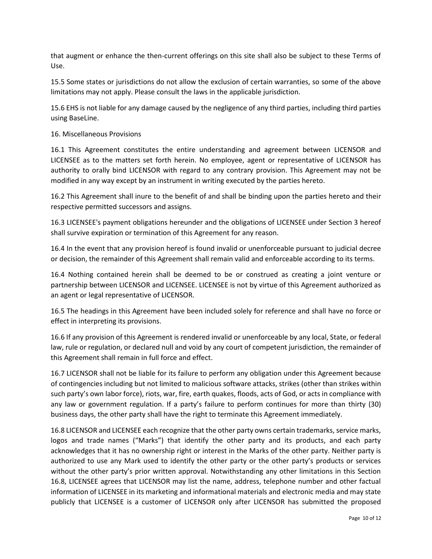that augment or enhance the then-current offerings on this site shall also be subject to these Terms of Use.

15.5 Some states or jurisdictions do not allow the exclusion of certain warranties, so some of the above limitations may not apply. Please consult the laws in the applicable jurisdiction.

15.6 EHS is not liable for any damage caused by the negligence of any third parties, including third parties using BaseLine.

### 16. Miscellaneous Provisions

16.1 This Agreement constitutes the entire understanding and agreement between LICENSOR and LICENSEE as to the matters set forth herein. No employee, agent or representative of LICENSOR has authority to orally bind LICENSOR with regard to any contrary provision. This Agreement may not be modified in any way except by an instrument in writing executed by the parties hereto.

16.2 This Agreement shall inure to the benefit of and shall be binding upon the parties hereto and their respective permitted successors and assigns.

16.3 LICENSEE's payment obligations hereunder and the obligations of LICENSEE under Section 3 hereof shall survive expiration or termination of this Agreement for any reason.

16.4 In the event that any provision hereof is found invalid or unenforceable pursuant to judicial decree or decision, the remainder of this Agreement shall remain valid and enforceable according to its terms.

16.4 Nothing contained herein shall be deemed to be or construed as creating a joint venture or partnership between LICENSOR and LICENSEE. LICENSEE is not by virtue of this Agreement authorized as an agent or legal representative of LICENSOR.

16.5 The headings in this Agreement have been included solely for reference and shall have no force or effect in interpreting its provisions.

16.6 If any provision of this Agreement is rendered invalid or unenforceable by any local, State, or federal law, rule or regulation, or declared null and void by any court of competent jurisdiction, the remainder of this Agreement shall remain in full force and effect.

16.7 LICENSOR shall not be liable for its failure to perform any obligation under this Agreement because of contingencies including but not limited to malicious software attacks, strikes (other than strikes within such party's own labor force), riots, war, fire, earth quakes, floods, acts of God, or acts in compliance with any law or government regulation. If a party's failure to perform continues for more than thirty (30) business days, the other party shall have the right to terminate this Agreement immediately.

16.8 LICENSOR and LICENSEE each recognize that the other party owns certain trademarks, service marks, logos and trade names ("Marks") that identify the other party and its products, and each party acknowledges that it has no ownership right or interest in the Marks of the other party. Neither party is authorized to use any Mark used to identify the other party or the other party's products or services without the other party's prior written approval. Notwithstanding any other limitations in this Section 16.8, LICENSEE agrees that LICENSOR may list the name, address, telephone number and other factual information of LICENSEE in its marketing and informational materials and electronic media and may state publicly that LICENSEE is a customer of LICENSOR only after LICENSOR has submitted the proposed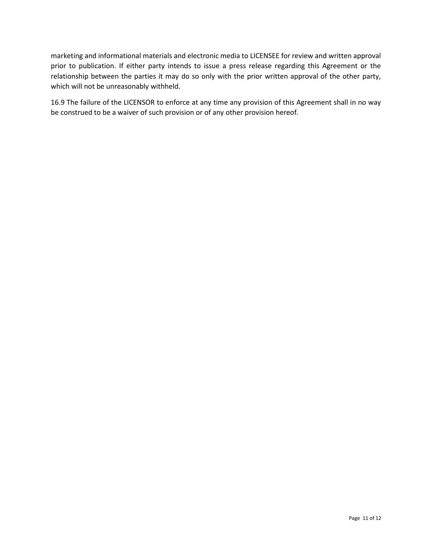marketing and informational materials and electronic media to LICENSEE for review and written approval prior to publication. If either party intends to issue a press release regarding this Agreement or the relationship between the parties it may do so only with the prior written approval of the other party, which will not be unreasonably withheld.

16.9 [The failure](https://www.lawinsider.com/clause/failure-to-enforce-not-a-waiver) of the LICENSOR to enforce at any time any provision of this Agreement shall in no way be construed to be a waiver of such provision or of any other provision hereof.